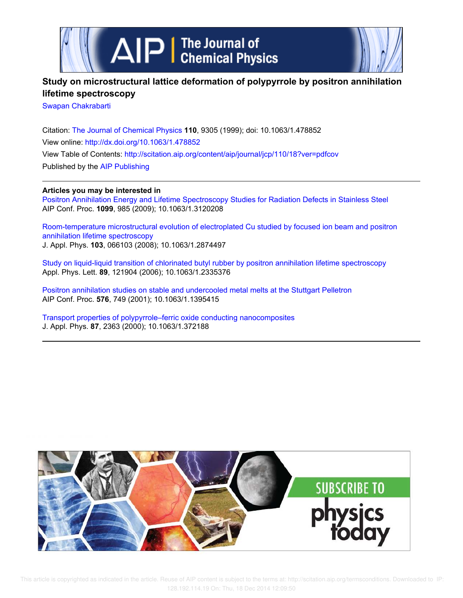

# **Study on microstructural lattice deformation of polypyrrole by positron annihilation lifetime spectroscopy**

Swapan Chakrabarti

Citation: The Journal of Chemical Physics **110**, 9305 (1999); doi: 10.1063/1.478852 View online: http://dx.doi.org/10.1063/1.478852 View Table of Contents: http://scitation.aip.org/content/aip/journal/jcp/110/18?ver=pdfcov Published by the AIP Publishing

# **Articles you may be interested in**

Positron Annihilation Energy and Lifetime Spectroscopy Studies for Radiation Defects in Stainless Steel AIP Conf. Proc. **1099**, 985 (2009); 10.1063/1.3120208

Room-temperature microstructural evolution of electroplated Cu studied by focused ion beam and positron annihilation lifetime spectroscopy J. Appl. Phys. **103**, 066103 (2008); 10.1063/1.2874497

Study on liquid-liquid transition of chlorinated butyl rubber by positron annihilation lifetime spectroscopy Appl. Phys. Lett. **89**, 121904 (2006); 10.1063/1.2335376

Positron annihilation studies on stable and undercooled metal melts at the Stuttgart Pelletron AIP Conf. Proc. **576**, 749 (2001); 10.1063/1.1395415

Transport properties of polypyrrole–ferric oxide conducting nanocomposites J. Appl. Phys. **87**, 2363 (2000); 10.1063/1.372188

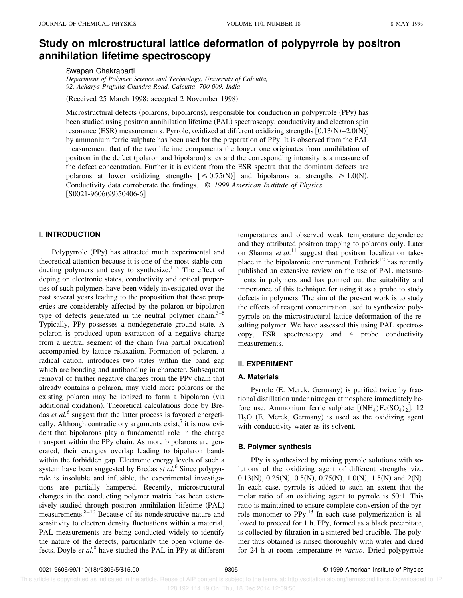# **Study on microstructural lattice deformation of polypyrrole by positron annihilation lifetime spectroscopy**

Swapan Chakrabarti

*Department of Polymer Science and Technology, University of Calcutta, 92, Acharya Prafulla Chandra Road, Calcutta*–*700 009, India*

(Received 25 March 1998; accepted 2 November 1998)

Microstructural defects (polarons, bipolarons), responsible for conduction in polypyrrole (PPy) has been studied using positron annihilation lifetime (PAL) spectroscopy, conductivity and electron spin resonance (ESR) measurements. Pyrrole, oxidized at different oxidizing strengths  $[0.13(N)-2.0(N)]$ by ammonium ferric sulphate has been used for the preparation of PPy. It is observed from the PAL measurement that of the two lifetime components the longer one originates from annihilation of positron in the defect (polaron and bipolaron) sites and the corresponding intensity is a measure of the defect concentration. Further it is evident from the ESR spectra that the dominant defects are polarons at lower oxidizing strengths  $\leq 0.75(N)$  and bipolarons at strengths  $\geq 1.0(N)$ . Conductivity data corroborate the findings. © *1999 American Institute of Physics.*  $[$ S0021-9606(99)50406-6]

## **I. INTRODUCTION**

Polypyrrole (PPy) has attracted much experimental and theoretical attention because it is one of the most stable conducting polymers and easy to synthesize.<sup>1–3</sup> The effect of doping on electronic states, conductivity and optical properties of such polymers have been widely investigated over the past several years leading to the proposition that these properties are considerably affected by the polaron or bipolaron type of defects generated in the neutral polymer chain. $3-5$ Typically, PPy possesses a nondegenerate ground state. A polaron is produced upon extraction of a negative charge from a neutral segment of the chain (via partial oxidation) accompanied by lattice relaxation. Formation of polaron, a radical cation, introduces two states within the band gap which are bonding and antibonding in character. Subsequent removal of further negative charges from the PPy chain that already contains a polaron, may yield more polarons or the existing polaron may be ionized to form a bipolaron (via additional oxidation). Theoretical calculations done by Bredas *et al.*<sup>6</sup> suggest that the latter process is favored energetically. Although contradictory arguments exist, $\frac{7}{1}$  it is now evident that bipolarons play a fundamental role in the charge transport within the PPy chain. As more bipolarons are generated, their energies overlap leading to bipolaron bands within the forbidden gap. Electronic energy levels of such a system have been suggested by Bredas *et al.*<sup>6</sup> Since polypyrrole is insoluble and infusible, the experimental investigations are partially hampered. Recently, microstructural changes in the conducting polymer matrix has been extensively studied through positron annihilation lifetime (PAL) measurements. $8-10$  Because of its nondestructive nature and sensitivity to electron density fluctuations within a material, PAL measurements are being conducted widely to identify the nature of the defects, particularly the open volume defects. Doyle *et al.*<sup>8</sup> have studied the PAL in PPy at different

temperatures and observed weak temperature dependence and they attributed positron trapping to polarons only. Later on Sharma *et al.*<sup>11</sup> suggest that positron localization takes place in the bipolaronic environment. Pethrick $12$  has recently published an extensive review on the use of PAL measurements in polymers and has pointed out the suitability and importance of this technique for using it as a probe to study defects in polymers. The aim of the present work is to study the effects of reagent concentration used to synthesize polypyrrole on the microstructural lattice deformation of the resulting polymer. We have assessed this using PAL spectroscopy, ESR spectroscopy and 4 probe conductivity measurements.

#### **II. EXPERIMENT**

## **A. Materials**

Pyrrole (E. Merck, Germany) is purified twice by fractional distillation under nitrogen atmosphere immediately before use. Ammonium ferric sulphate  $[(NH<sub>4</sub>)Fe(SO<sub>4</sub>)<sub>2</sub>]$ , 12  $H<sub>2</sub>O$  (E. Merck, Germany) is used as the oxidizing agent with conductivity water as its solvent.

#### **B. Polymer synthesis**

PPy is synthesized by mixing pyrrole solutions with solutions of the oxidizing agent of different strengths viz., 0.13(N), 0.25(N), 0.5(N), 0.75(N), 1.0(N), 1.5(N) and 2(N). In each case, pyrrole is added to such an extent that the molar ratio of an oxidizing agent to pyrrole is 50:1. This ratio is maintained to ensure complete conversion of the pyrrole monomer to  $PPy$ .<sup>13</sup> In each case polymerization is allowed to proceed for 1 h. PPy, formed as a black precipitate, is collected by filtration in a sintered bed crucible. The polymer thus obtained is rinsed thoroughly with water and dried for 24 h at room temperature *in vacuo*. Dried polypyrrole

 This article is copyrighted as indicated in the article. Reuse of AIP content is subject to the terms at: http://scitation.aip.org/termsconditions. Downloaded to IP: 128.192.114.19 On: Thu, 18 Dec 2014 12:09:50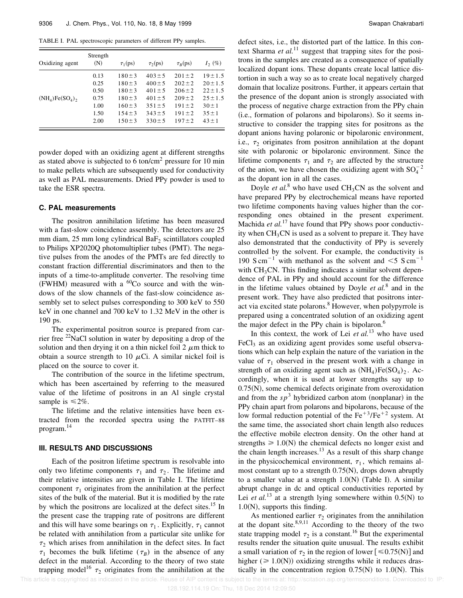TABLE I. PAL spectroscopic parameters of different PPy samples.

| Oxidizing agent  | Strength<br>(N) | $\tau_1$ (ps) | $\tau_2(ps)$ | $\tau_R(ps)$ | $I_2(\%)$    |
|------------------|-----------------|---------------|--------------|--------------|--------------|
| $(NH_4)Fe(SO_4)$ | 0.13            | $180 \pm 3$   | $403 \pm 5$  | $201 \pm 2$  | $19 \pm 1.5$ |
|                  | 0.25            | $180 \pm 3$   | $400 \pm 5$  | $202 \pm 2$  | $20 \pm 1.5$ |
|                  | 0.50            | $180 \pm 3$   | $401 \pm 5$  | $206 \pm 2$  | $22 \pm 1.5$ |
|                  | 0.75            | $180 \pm 3$   | $401 \pm 5$  | $209 \pm 2$  | $25 \pm 1.5$ |
|                  | 1.00            | $160 \pm 3$   | $351 \pm 5$  | $191 \pm 2$  | $30 \pm 1$   |
|                  | 1.50            | $154 \pm 3$   | $343 \pm 5$  | $191 \pm 2$  | $35 \pm 1$   |
|                  | 2.00            | $150 \pm 3$   | $330 \pm 5$  | $197 \pm 2$  | $43 \pm 1$   |

powder doped with an oxidizing agent at different strengths as stated above is subjected to 6 ton/cm<sup>2</sup> pressure for 10 min to make pellets which are subsequently used for conductivity as well as PAL measurements. Dried PPy powder is used to take the ESR spectra.

### **C. PAL measurements**

The positron annihilation lifetime has been measured with a fast-slow coincidence assembly. The detectors are 25 mm diam,  $25$  mm long cylindrical  $BaF_2$  scintillators coupled to Philips XP2020Q photomultiplier tubes (PMT). The negative pulses from the anodes of the PMTs are fed directly to constant fraction differential discriminators and then to the inputs of a time-to-amplitude converter. The resolving time (FWHM) measured with a  ${}^{60}Co$  source and with the windows of the slow channels of the fast-slow coincidence assembly set to select pulses corresponding to 300 keV to 550 keV in one channel and 700 keV to 1.32 MeV in the other is 190 ps.

The experimental positron source is prepared from carrier free <sup>22</sup>NaCl solution in water by depositing a drop of the solution and then drying it on a thin nickel foil  $2 \mu m$  thick to obtain a source strength to 10  $\mu$ Ci. A similar nickel foil is placed on the source to cover it.

The contribution of the source in the lifetime spectrum, which has been ascertained by referring to the measured value of the lifetime of positrons in an Al single crystal sample is  $\leq 2\%$ .

The lifetime and the relative intensities have been extracted from the recorded spectra using the PATFIT–88 program.<sup>14</sup>

#### **III. RESULTS AND DISCUSSIONS**

Each of the positron lifetime spectrum is resolvable into only two lifetime components  $\tau_1$  and  $\tau_2$ . The lifetime and their relative intensities are given in Table I. The lifetime component  $\tau_1$  originates from the annihilation at the perfect sites of the bulk of the material. But it is modified by the rate by which the positrons are localized at the defect sites.<sup>15</sup> In the present case the trapping rate of positrons are different and this will have some bearings on  $\tau_1$ . Explicitly,  $\tau_1$  cannot be related with annihilation from a particular site unlike for  $\tau_2$  which arises from annihilation in the defect sites. In fact  $\tau_1$  becomes the bulk lifetime ( $\tau_B$ ) in the absence of any defect in the material. According to the theory of two state trapping model<sup>16</sup>  $\tau_2$  originates from the annihilation at the defect sites, i.e., the distorted part of the lattice. In this context Sharma *et al.*<sup>11</sup> suggest that trapping sites for the positrons in the samples are created as a consequence of spatially localized dopant ions. These dopants create local lattice distortion in such a way so as to create local negatively charged domain that localize positrons. Further, it appears certain that the presence of the dopant anion is strongly associated with the process of negative charge extraction from the PPy chain (i.e., formation of polarons and bipolarons). So it seems instructive to consider the trapping sites for positrons as the dopant anions having polaronic or bipolaronic environment, i.e.,  $\tau_2$  originates from positron annihilation at the dopant site with polaronic or bipolaronic environment. Since the lifetime components  $\tau_1$  and  $\tau_2$  are affected by the structure of the anion, we have chosen the oxidizing agent with  $SO_4^{-2}$ as the dopant ion in all the cases.

Doyle *et al.*<sup>8</sup> who have used  $CH<sub>3</sub>CN$  as the solvent and have prepared PPy by electrochemical means have reported two lifetime components having values higher than the corresponding ones obtained in the present experiment. Machida *et al.*<sup>17</sup> have found that PPy shows poor conductivity when  $CH<sub>3</sub>CN$  is used as a solvent to prepare it. They have also demonstrated that the conductivity of PPy is severely controlled by the solvent. For example, the conductivity is 190 S cm<sup>-1</sup> with methanol as the solvent and  $\leq$  S cm<sup>-1</sup> with  $CH<sub>3</sub>CN$ . This finding indicates a similar solvent dependence of PAL in PPy and should account for the difference in the lifetime values obtained by Doyle *et al.*<sup>8</sup> and in the present work. They have also predicted that positrons interact via excited state polarons.<sup>8</sup> However, when polypyrrole is prepared using a concentrated solution of an oxidizing agent the major defect in the PPy chain is bipolaron. $<sup>6</sup>$ </sup>

In this context, the work of Lei *et al.*<sup>13</sup> who have used  $FeCl<sub>3</sub>$  as an oxidizing agent provides some useful observations which can help explain the nature of the variation in the value of  $\tau_1$  observed in the present work with a change in strength of an oxidizing agent such as  $(NH_4)Fe(SO_4)_2$ . Accordingly, when it is used at lower strengths say up to  $0.75(N)$ , some chemical defects originate from overoxidation and from the  $sp<sup>3</sup>$  hybridized carbon atom (nonplanar) in the PPy chain apart from polarons and bipolarons, because of the low formal reduction potential of the  $Fe^{+3}/Fe^{+2}$  system. At the same time, the associated short chain length also reduces the effective mobile electron density. On the other hand at strengths  $\geq 1.0(N)$  the chemical defects no longer exist and the chain length increases. $13$  As a result of this sharp change in the physicochemical environment,  $\tau_1$ , which remains almost constant up to a strength  $0.75(N)$ , drops down abruptly to a smaller value at a strength  $1.0(N)$  (Table I). A similar abrupt change in dc and optical conductivities reported by Lei *et al.*<sup>13</sup> at a strength lying somewhere within  $0.5(N)$  to  $1.0(N)$ , supports this finding.

As mentioned earlier  $\tau_2$  originates from the annihilation at the dopant site. $8,9,11$  According to the theory of the two state trapping model  $\tau_2$  is a constant.<sup>16</sup> But the experimental results render the situation quite unusual. The results exhibit a small variation of  $\tau_2$  in the region of lower [ $\leq 0.75(N)$ ] and higher ( $\geq 1.0(N)$ ) oxidizing strengths while it reduces drastically in the concentration region  $0.75(N)$  to 1.0 $(N)$ . This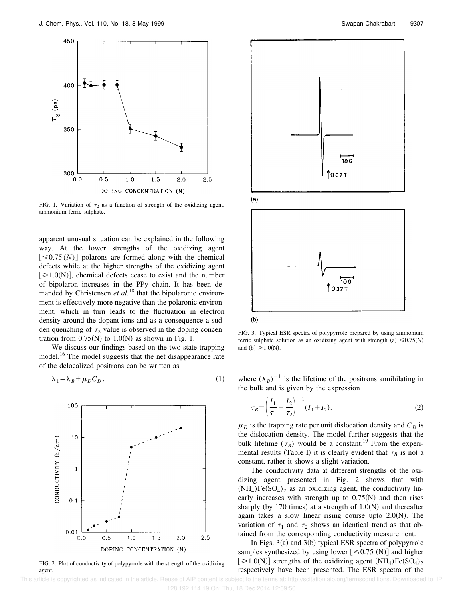

FIG. 1. Variation of  $\tau_2$  as a function of strength of the oxidizing agent, ammonium ferric sulphate.

apparent unusual situation can be explained in the following way. At the lower strengths of the oxidizing agent  $\lceil \leq 0.75(N) \rceil$  polarons are formed along with the chemical defects while at the higher strengths of the oxidizing agent  $[\geq 1.0(N)]$ , chemical defects cease to exist and the number of bipolaron increases in the PPy chain. It has been demanded by Christensen *et al.*<sup>18</sup> that the bipolaronic environment is effectively more negative than the polaronic environment, which in turn leads to the fluctuation in electron density around the dopant ions and as a consequence a sudden quenching of  $\tau_2$  value is observed in the doping concentration from  $0.75(N)$  to  $1.0(N)$  as shown in Fig. 1.

We discuss our findings based on the two state trapping model.<sup>16</sup> The model suggests that the net disappearance rate of the delocalized positrons can be written as

$$
\lambda_1 = \lambda_B + \mu_D C_D, \qquad (1)
$$



FIG. 2. Plot of conductivity of polypyrrole with the strength of the oxidizing agent.



 $\lambda_1 = \lambda_B + \mu_D C_D$ ,  $(1)$  where  $(\lambda_B)^{-1}$  is the lifetime of the positrons annihilating in the bulk and is given by the expression

FIG. 3. Typical ESR spectra of polypyrrole prepared by using ammonium ferric sulphate solution as an oxidizing agent with strength (a)  $\leq 0.75(N)$ 

T 0-37 T

$$
\tau_B = \left(\frac{I_1}{\tau_1} + \frac{I_2}{\tau_2}\right)^{-1} (I_1 + I_2).
$$
 (2)

 $\mu_D$  is the trapping rate per unit dislocation density and  $C_D$  is the dislocation density. The model further suggests that the bulk lifetime  $(\tau_B)$  would be a constant.<sup>19</sup> From the experimental results (Table I) it is clearly evident that  $\tau_B$  is not a constant, rather it shows a slight variation.

The conductivity data at different strengths of the oxidizing agent presented in Fig. 2 shows that with  $(NH_4)Fe(SO_4)_2$  as an oxidizing agent, the conductivity linearly increases with strength up to  $0.75(N)$  and then rises sharply (by 170 times) at a strength of  $1.0(N)$  and thereafter again takes a slow linear rising course upto  $2.0(N)$ . The variation of  $\tau_1$  and  $\tau_2$  shows an identical trend as that obtained from the corresponding conductivity measurement.

In Figs.  $3(a)$  and  $3(b)$  typical ESR spectra of polypyrrole samples synthesized by using lower  $[$   $\leq$  0.75 (N)] and higher  $[\geq 1.0(N)]$  strengths of the oxidizing agent  $(NH_4)Fe(SO_4)_2$ respectively have been presented. The ESR spectra of the

 This article is copyrighted as indicated in the article. Reuse of AIP content is subject to the terms at: http://scitation.aip.org/termsconditions. Downloaded to IP: 128.192.114.19 On: Thu, 18 Dec 2014 12:09:50

and (b)  $\geq 1.0(N)$ .

 $(b)$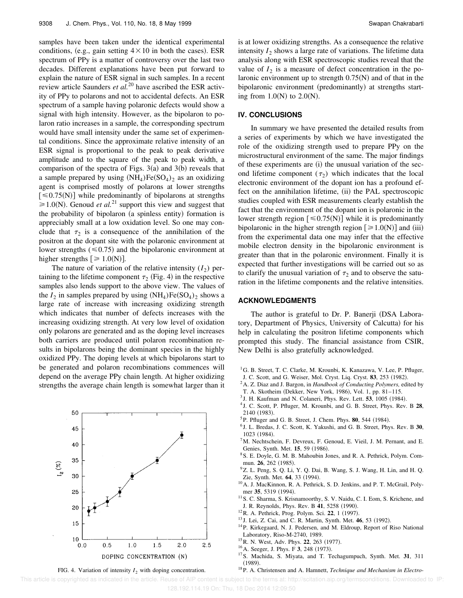samples have been taken under the identical experimental conditions, (e.g., gain setting  $4 \times 10$  in both the cases). ESR spectrum of PPy is a matter of controversy over the last two decades. Different explanations have been put forward to explain the nature of ESR signal in such samples. In a recent review article Saunders *et al.*<sup>20</sup> have ascribed the ESR activity of PPy to polarons and not to accidental defects. An ESR spectrum of a sample having polaronic defects would show a signal with high intensity. However, as the bipolaron to polaron ratio increases in a sample, the corresponding spectrum would have small intensity under the same set of experimental conditions. Since the approximate relative intensity of an ESR signal is proportional to the peak to peak derivative amplitude and to the square of the peak to peak width, a comparison of the spectra of Figs.  $3(a)$  and  $3(b)$  reveals that a sample prepared by using  $(NH_4)Fe(SO_4)_2$  as an oxidizing agent is comprised mostly of polarons at lower strengths  $[\leq 0.75(N)]$  while predominantly of bipolarons at strengths  $\geq 1.0(N)$ . Genoud *et al.*<sup>21</sup> support this view and suggest that the probability of bipolaron (a spinless entity) formation is appreciably small at a low oxidation level. So one may conclude that  $\tau_2$  is a consequence of the annihilation of the positron at the dopant site with the polaronic environment at lower strengths  $(\leq 0.75)$  and the bipolaronic environment at higher strengths  $\lbrack \geq 1.0(N) \rbrack$ .

The nature of variation of the relative intensity  $(I_2)$  pertaining to the lifetime component  $\tau_2$  (Fig. 4) in the respective samples also lends support to the above view. The values of the  $I_2$  in samples prepared by using  $(NH_4)Fe(SO_4)_2$  shows a large rate of increase with increasing oxidizing strength which indicates that number of defects increases with the increasing oxidizing strength. At very low level of oxidation only polarons are generated and as the doping level increases both carriers are produced until polaron recombination results in bipolarons being the dominant species in the highly oxidized PPy. The doping levels at which bipolarons start to be generated and polaron recombinations commences will depend on the average PPy chain length. At higher oxidizing strengths the average chain length is somewhat larger than it



is at lower oxidizing strengths. As a consequence the relative intensity  $I_2$  shows a large rate of variations. The lifetime data analysis along with ESR spectroscopic studies reveal that the value of  $I_2$  is a measure of defect concentration in the polaronic environment up to strength  $0.75(N)$  and of that in the bipolaronic environment (predominantly) at strengths starting from  $1.0(N)$  to  $2.0(N)$ .

#### **IV. CONCLUSIONS**

In summary we have presented the detailed results from a series of experiments by which we have investigated the role of the oxidizing strength used to prepare PPy on the microstructural environment of the same. The major findings of these experiments are (i) the unusual variation of the second lifetime component  $(\tau_2)$  which indicates that the local electronic environment of the dopant ion has a profound effect on the annihilation lifetime, (ii) the PAL spectroscopic studies coupled with ESR measurements clearly establish the fact that the environment of the dopant ion is polaronic in the lower strength region  $[\leq 0.75(N)]$  while it is predominantly bipolaronic in the higher strength region  $[\geq 1.0(N)]$  and (iii) from the experimental data one may infer that the effective mobile electron density in the bipolaronic environment is greater than that in the polaronic environment. Finally it is expected that further investigations will be carried out so as to clarify the unusual variation of  $\tau_2$  and to observe the saturation in the lifetime components and the relative intensities.

#### **ACKNOWLEDGMENTS**

The author is grateful to Dr. P. Banerji (DSA Laboratory, Department of Physics, University of Calcutta) for his help in calculating the positron lifetime components which prompted this study. The financial assistance from CSIR, New Delhi is also gratefully acknowledged.

- <sup>1</sup>G. B. Street, T. C. Clarke, M. Krounbi, K. Kanazawa, V. Lee, P. Pfluger,
- J. C. Scott, and G. Weiser, Mol. Cryst. Liq. Cryst. 83, 253 (1982).
- <sup>2</sup>A. Z. Diaz and J. Bargon, in *Handbook of Conducting Polymers,* edited by
- T. A. Skotheim (Dekker, New York, 1986), Vol. 1, pp. 81–115.
- <sup>3</sup> J. H. Kaufman and N. Colaneri, Phys. Rev. Lett. **53**, 1005 (1984).
- 4 J. C. Scott, P. Pfluger, M. Krounbi, and G. B. Street, Phys. Rev. B **28**, 2140 (1983).
- <sup>5</sup>P. Pfluger and G. B. Street, J. Chem. Phys. **80**, 544 (1984).
- 6 J. L. Bredas, J. C. Scott, K. Yakushi, and G. B. Street, Phys. Rev. B **30**, 1023 (1984).
- <sup>7</sup>M. Nechtschein, F. Devreux, F. Genoud, E. Vieil, J. M. Pernant, and E. Genies, Synth. Met. 15, 59 (1986).
- <sup>8</sup>S. E. Doyle, G. M. B. Mahoubin Jones, and R. A. Pethrick, Polym. Commun. **26**, 262 (1985).
- <sup>9</sup>Z. L. Peng, S. Q. Li, Y. Q. Dai, B. Wang, S. J. Wang, H. Lin, and H. Q. Zie, Synth. Met. **64**, 33 (1994).
- <sup>10</sup>A. J. MacKinnon, R. A. Pethrick, S. D. Jenkins, and P. T. McGrail, Polymer 35, 5319 (1994).
- <sup>11</sup> S. C. Sharma, S. Krisnamoorthy, S. V. Naidu, C. I. Eom, S. Krichene, and J. R. Reynolds, Phys. Rev. B 41, 5258 (1990).
- <sup>12</sup>R. A. Pethrick, Prog. Polym. Sci. **22**, 1 (1997).
- <sup>13</sup> J. Lei, Z. Cai, and C. R. Martin, Synth. Met. **46**, 53 (1992).
- <sup>14</sup>P. Kirkegaard, N. J. Pedersen, and M. Eldroup, Report of Riso National Laboratory, Riso-M-2740, 1989.
- <sup>15</sup> R. N. West, Adv. Phys. **22**, 263 (1977).
- <sup>16</sup> A. Seeger, J. Phys. F **3**, 248 (1973).
- <sup>17</sup>S. Machida, S. Miyata, and T. Techagumpuch, Synth. Met. **31**, 311  $(1989).$
- FIG. 4. Variation of intensity  $I_2$  with doping concentration. <sup>18</sup>P. A. Christensen and A. Hamnett, *Technique and Mechanism in Electro-*

This article is copyrighted as indicated in the article. Reuse of AIP content is subject to the terms at: http://scitation.aip.org/termsconditions. Downloaded to IP: